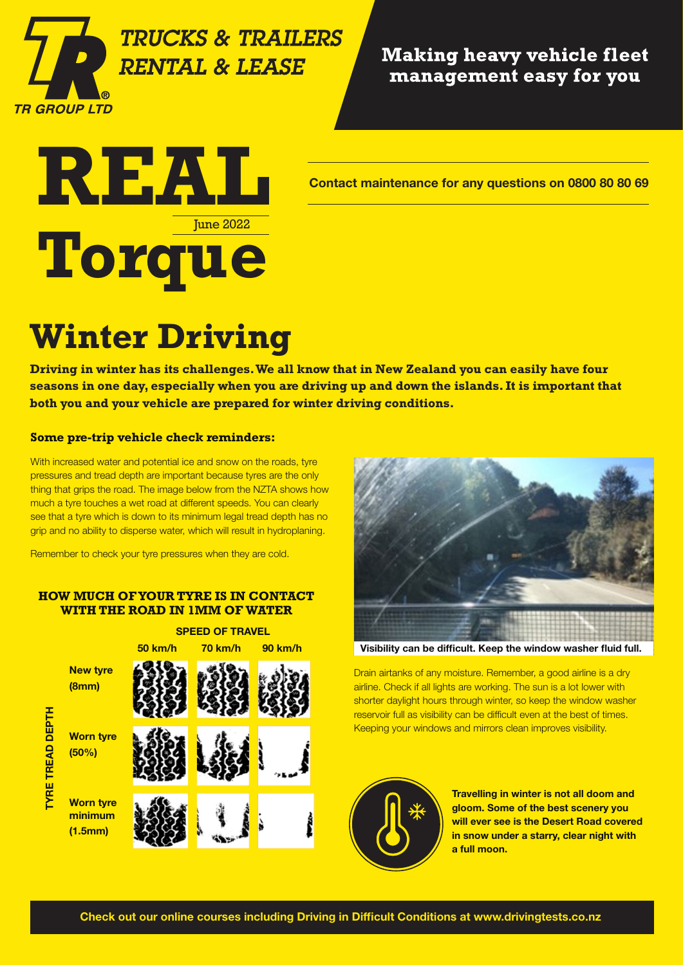

### **TRUCKS & TRAILERS RENTAL & LEASE**

#### **Making heavy vehicle fleet** management easy for you



## **Winter Driving**

**Driving in winter has its challenges. We all know that in New Zealand you can easily have four seasons in one day, especially when you are driving up and down the islands. It is important that both you and your vehicle are prepared for winter driving conditions.**

#### **Some pre-trip vehicle check reminders:**

With increased water and potential ice and snow on the roads, tyre pressures and tread depth are important because tyres are the only thing that grips the road. The image below from the NZTA shows how much a tyre touches a wet road at different speeds. You can clearly see that a tyre which is down to its minimum legal tread depth has no grip and no ability to disperse water, which will result in hydroplaning.

Remember to check your tyre pressures when they are cold.

#### **HOW MUCH OF YOUR TYRE IS IN CONTACT WITH THE ROAD IN 1MM OF WATER**





Visibility can be difficult. Keep the window washer fluid full.

Drain airtanks of any moisture. Remember, a good airline is a dry airline. Check if all lights are working. The sun is a lot lower with shorter daylight hours through winter, so keep the window washer reservoir full as visibility can be difficult even at the best of times. Keeping your windows and mirrors clean improves visibility.



Travelling in winter is not all doom and gloom. Some of the best scenery you will ever see is the Desert Road covered in snow under a starry, clear night with a full moon.